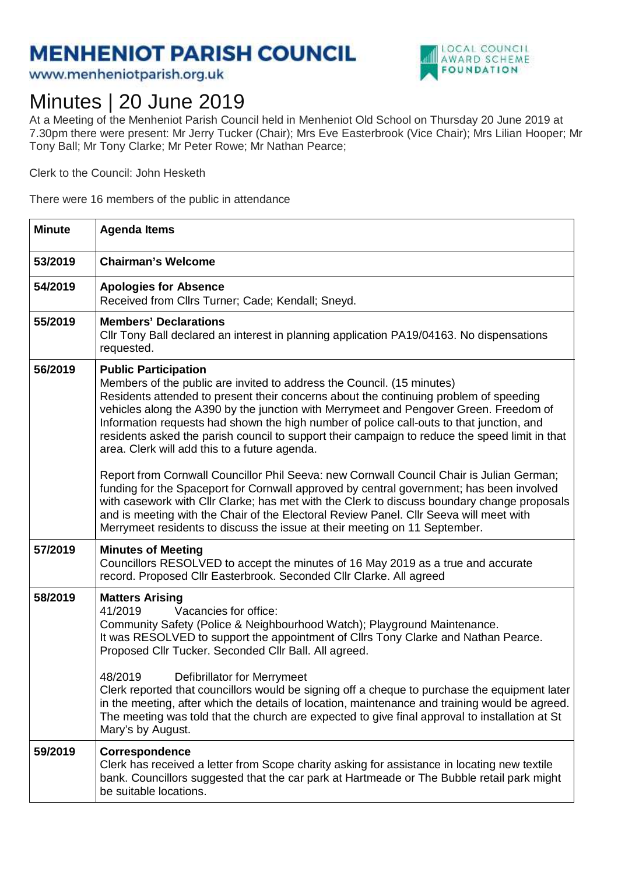## **MENHENIOT PARISH COUNCIL**

www.menheniotparish.org.uk



## Minutes | 20 June 2019

At a Meeting of the Menheniot Parish Council held in Menheniot Old School on Thursday 20 June 2019 at 7.30pm there were present: Mr Jerry Tucker (Chair); Mrs Eve Easterbrook (Vice Chair); Mrs Lilian Hooper; Mr Tony Ball; Mr Tony Clarke; Mr Peter Rowe; Mr Nathan Pearce;

Clerk to the Council: John Hesketh

There were 16 members of the public in attendance

| <b>Minute</b> | <b>Agenda Items</b>                                                                                                                                                                                                                                                                                                                                                                                                                                                                                                                    |  |
|---------------|----------------------------------------------------------------------------------------------------------------------------------------------------------------------------------------------------------------------------------------------------------------------------------------------------------------------------------------------------------------------------------------------------------------------------------------------------------------------------------------------------------------------------------------|--|
| 53/2019       | <b>Chairman's Welcome</b>                                                                                                                                                                                                                                                                                                                                                                                                                                                                                                              |  |
| 54/2019       | <b>Apologies for Absence</b><br>Received from Cllrs Turner; Cade; Kendall; Sneyd.                                                                                                                                                                                                                                                                                                                                                                                                                                                      |  |
| 55/2019       | <b>Members' Declarations</b><br>Cllr Tony Ball declared an interest in planning application PA19/04163. No dispensations<br>requested.                                                                                                                                                                                                                                                                                                                                                                                                 |  |
| 56/2019       | <b>Public Participation</b><br>Members of the public are invited to address the Council. (15 minutes)<br>Residents attended to present their concerns about the continuing problem of speeding<br>vehicles along the A390 by the junction with Merrymeet and Pengover Green. Freedom of<br>Information requests had shown the high number of police call-outs to that junction, and<br>residents asked the parish council to support their campaign to reduce the speed limit in that<br>area. Clerk will add this to a future agenda. |  |
|               | Report from Cornwall Councillor Phil Seeva: new Cornwall Council Chair is Julian German;<br>funding for the Spaceport for Cornwall approved by central government; has been involved<br>with casework with Cllr Clarke; has met with the Clerk to discuss boundary change proposals<br>and is meeting with the Chair of the Electoral Review Panel. Cllr Seeva will meet with<br>Merrymeet residents to discuss the issue at their meeting on 11 September.                                                                            |  |
| 57/2019       | <b>Minutes of Meeting</b><br>Councillors RESOLVED to accept the minutes of 16 May 2019 as a true and accurate<br>record. Proposed Cllr Easterbrook. Seconded Cllr Clarke. All agreed                                                                                                                                                                                                                                                                                                                                                   |  |
| 58/2019       | <b>Matters Arising</b><br>41/2019<br>Vacancies for office:<br>Community Safety (Police & Neighbourhood Watch); Playground Maintenance.<br>It was RESOLVED to support the appointment of Cllrs Tony Clarke and Nathan Pearce.<br>Proposed Cllr Tucker. Seconded Cllr Ball. All agreed.                                                                                                                                                                                                                                                  |  |
|               | 48/2019<br>Defibrillator for Merrymeet<br>Clerk reported that councillors would be signing off a cheque to purchase the equipment later<br>in the meeting, after which the details of location, maintenance and training would be agreed.<br>The meeting was told that the church are expected to give final approval to installation at St<br>Mary's by August.                                                                                                                                                                       |  |
| 59/2019       | Correspondence<br>Clerk has received a letter from Scope charity asking for assistance in locating new textile<br>bank. Councillors suggested that the car park at Hartmeade or The Bubble retail park might<br>be suitable locations.                                                                                                                                                                                                                                                                                                 |  |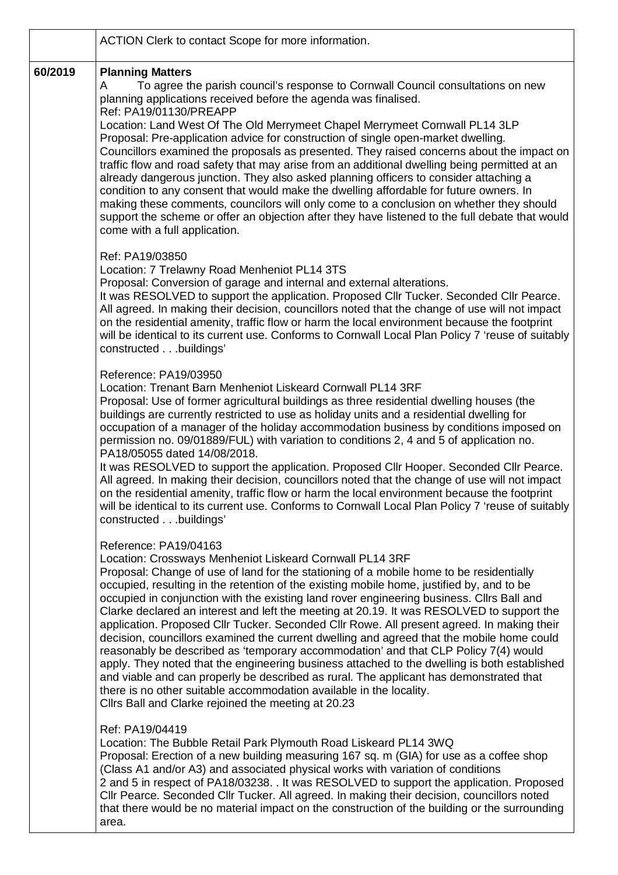|         | ACTION Clerk to contact Scope for more information.                                                                                                                                                                                                                                                                                                                                                                                                                                                                                                                                                                                                                                                                                                                                                                                                                                                                                                                                                                                                                           |
|---------|-------------------------------------------------------------------------------------------------------------------------------------------------------------------------------------------------------------------------------------------------------------------------------------------------------------------------------------------------------------------------------------------------------------------------------------------------------------------------------------------------------------------------------------------------------------------------------------------------------------------------------------------------------------------------------------------------------------------------------------------------------------------------------------------------------------------------------------------------------------------------------------------------------------------------------------------------------------------------------------------------------------------------------------------------------------------------------|
| 60/2019 | <b>Planning Matters</b><br>To agree the parish council's response to Cornwall Council consultations on new<br>A<br>planning applications received before the agenda was finalised.<br>Ref: PA19/01130/PREAPP<br>Location: Land West Of The Old Merrymeet Chapel Merrymeet Cornwall PL14 3LP<br>Proposal: Pre-application advice for construction of single open-market dwelling.<br>Councillors examined the proposals as presented. They raised concerns about the impact on<br>traffic flow and road safety that may arise from an additional dwelling being permitted at an<br>already dangerous junction. They also asked planning officers to consider attaching a<br>condition to any consent that would make the dwelling affordable for future owners. In<br>making these comments, councilors will only come to a conclusion on whether they should<br>support the scheme or offer an objection after they have listened to the full debate that would<br>come with a full application.                                                                              |
|         | Ref: PA19/03850<br>Location: 7 Trelawny Road Menheniot PL14 3TS<br>Proposal: Conversion of garage and internal and external alterations.<br>It was RESOLVED to support the application. Proposed Cllr Tucker. Seconded Cllr Pearce.<br>All agreed. In making their decision, councillors noted that the change of use will not impact<br>on the residential amenity, traffic flow or harm the local environment because the footprint<br>will be identical to its current use. Conforms to Cornwall Local Plan Policy 7 'reuse of suitably<br>constructedbuildings'                                                                                                                                                                                                                                                                                                                                                                                                                                                                                                           |
|         | Reference: PA19/03950<br>Location: Trenant Barn Menheniot Liskeard Cornwall PL14 3RF<br>Proposal: Use of former agricultural buildings as three residential dwelling houses (the<br>buildings are currently restricted to use as holiday units and a residential dwelling for<br>occupation of a manager of the holiday accommodation business by conditions imposed on<br>permission no. 09/01889/FUL) with variation to conditions 2, 4 and 5 of application no.<br>PA18/05055 dated 14/08/2018.<br>It was RESOLVED to support the application. Proposed Cllr Hooper. Seconded Cllr Pearce.<br>All agreed. In making their decision, councillors noted that the change of use will not impact<br>on the residential amenity, traffic flow or harm the local environment because the footprint<br>will be identical to its current use. Conforms to Cornwall Local Plan Policy 7 'reuse of suitably<br>constructedbuildings'                                                                                                                                                 |
|         | Reference: PA19/04163<br>Location: Crossways Menheniot Liskeard Cornwall PL14 3RF<br>Proposal: Change of use of land for the stationing of a mobile home to be residentially<br>occupied, resulting in the retention of the existing mobile home, justified by, and to be<br>occupied in conjunction with the existing land rover engineering business. Cllrs Ball and<br>Clarke declared an interest and left the meeting at 20.19. It was RESOLVED to support the<br>application. Proposed Cllr Tucker. Seconded Cllr Rowe. All present agreed. In making their<br>decision, councillors examined the current dwelling and agreed that the mobile home could<br>reasonably be described as 'temporary accommodation' and that CLP Policy 7(4) would<br>apply. They noted that the engineering business attached to the dwelling is both established<br>and viable and can properly be described as rural. The applicant has demonstrated that<br>there is no other suitable accommodation available in the locality.<br>Cllrs Ball and Clarke rejoined the meeting at 20.23 |
|         | Ref: PA19/04419<br>Location: The Bubble Retail Park Plymouth Road Liskeard PL14 3WQ<br>Proposal: Erection of a new building measuring 167 sq. m (GIA) for use as a coffee shop<br>(Class A1 and/or A3) and associated physical works with variation of conditions<br>2 and 5 in respect of PA18/03238. . It was RESOLVED to support the application. Proposed<br>CIIr Pearce. Seconded CIIr Tucker. All agreed. In making their decision, councillors noted<br>that there would be no material impact on the construction of the building or the surrounding<br>area.                                                                                                                                                                                                                                                                                                                                                                                                                                                                                                         |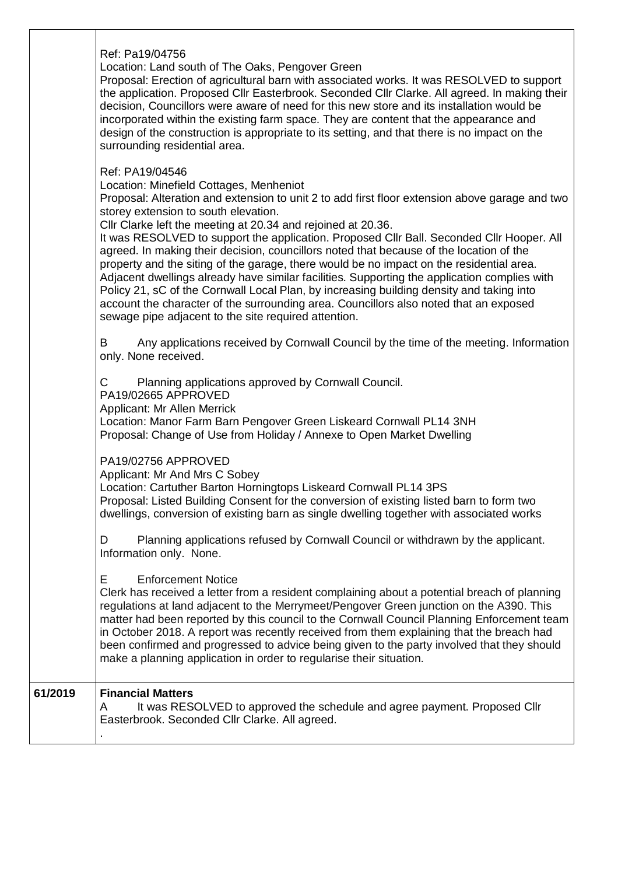Ref: Pa19/04756

Location: Land south of The Oaks, Pengover Green

Proposal: Erection of agricultural barn with associated works. It was RESOLVED to support the application. Proposed Cllr Easterbrook. Seconded Cllr Clarke. All agreed. In making their decision, Councillors were aware of need for this new store and its installation would be incorporated within the existing farm space. They are content that the appearance and design of the construction is appropriate to its setting, and that there is no impact on the surrounding residential area.

Ref: PA19/04546

Location: Minefield Cottages, Menheniot

Proposal: Alteration and extension to unit 2 to add first floor extension above garage and two storey extension to south elevation.

Cllr Clarke left the meeting at 20.34 and rejoined at 20.36.

It was RESOLVED to support the application. Proposed Cllr Ball. Seconded Cllr Hooper. All agreed. In making their decision, councillors noted that because of the location of the property and the siting of the garage, there would be no impact on the residential area. Adjacent dwellings already have similar facilities. Supporting the application complies with Policy 21, sC of the Cornwall Local Plan, by increasing building density and taking into account the character of the surrounding area. Councillors also noted that an exposed sewage pipe adjacent to the site required attention.

B Any applications received by Cornwall Council by the time of the meeting. Information only. None received.

C Planning applications approved by Cornwall Council.

PA19/02665 APPROVED

Applicant: Mr Allen Merrick

Location: Manor Farm Barn Pengover Green Liskeard Cornwall PL14 3NH Proposal: Change of Use from Holiday / Annexe to Open Market Dwelling

PA19/02756 APPROVED

Applicant: Mr And Mrs C Sobey

Location: Cartuther Barton Horningtops Liskeard Cornwall PL14 3PS Proposal: Listed Building Consent for the conversion of existing listed barn to form two dwellings, conversion of existing barn as single dwelling together with associated works

D Planning applications refused by Cornwall Council or withdrawn by the applicant. Information only. None.

E Enforcement Notice

Clerk has received a letter from a resident complaining about a potential breach of planning regulations at land adjacent to the Merrymeet/Pengover Green junction on the A390. This matter had been reported by this council to the Cornwall Council Planning Enforcement team in October 2018. A report was recently received from them explaining that the breach had been confirmed and progressed to advice being given to the party involved that they should make a planning application in order to regularise their situation.

| 61/2019 | <b>Financial Matters</b>                                                  |
|---------|---------------------------------------------------------------------------|
|         | It was RESOLVED to approved the schedule and agree payment. Proposed Cllr |
|         | Easterbrook. Seconded Cllr Clarke. All agreed.                            |
|         |                                                                           |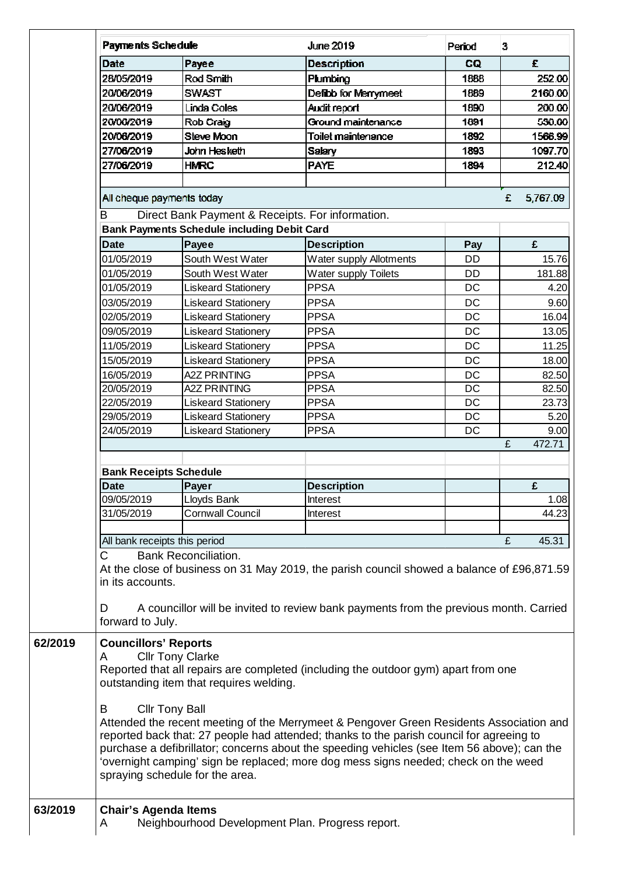|         | <b>Payments Schedule</b>                                                                                                                                                                                                                                                                                                                                                                                     |                                                    | <b>June 2019</b>                                                                           | Period    | 3             |  |  |  |  |
|---------|--------------------------------------------------------------------------------------------------------------------------------------------------------------------------------------------------------------------------------------------------------------------------------------------------------------------------------------------------------------------------------------------------------------|----------------------------------------------------|--------------------------------------------------------------------------------------------|-----------|---------------|--|--|--|--|
|         | Date                                                                                                                                                                                                                                                                                                                                                                                                         | Payee                                              | <b>Description</b>                                                                         | CQ        | £             |  |  |  |  |
|         | 28/05/2019                                                                                                                                                                                                                                                                                                                                                                                                   | Rod Smith                                          | Plumbing                                                                                   | 1888      | 252.00        |  |  |  |  |
|         | 20/06/2019                                                                                                                                                                                                                                                                                                                                                                                                   | <b>SWAST</b>                                       | Defibb for Merrymeet                                                                       | 1889      | 2160.00       |  |  |  |  |
|         | 20/06/2019                                                                                                                                                                                                                                                                                                                                                                                                   | <b>Linda Coles</b>                                 | Audit report                                                                               | 1890      | 200.00        |  |  |  |  |
|         | 20/06/2019                                                                                                                                                                                                                                                                                                                                                                                                   | Rob Craig                                          | Ground maintenance                                                                         | 1891      | 530.00        |  |  |  |  |
|         | 20/06/2019                                                                                                                                                                                                                                                                                                                                                                                                   | <b>Steve Moon</b>                                  | Toilet maintenance                                                                         | 1892      | 1566.99       |  |  |  |  |
|         | 27/06/2019                                                                                                                                                                                                                                                                                                                                                                                                   | John Hesketh                                       | <b>Salary</b>                                                                              | 1893      | 1097.70       |  |  |  |  |
|         | 27/06/2019                                                                                                                                                                                                                                                                                                                                                                                                   | <b>HMRC</b>                                        | <b>PAYE</b>                                                                                | 1894      | 212.40        |  |  |  |  |
|         |                                                                                                                                                                                                                                                                                                                                                                                                              |                                                    |                                                                                            |           |               |  |  |  |  |
|         | All cheque payments today                                                                                                                                                                                                                                                                                                                                                                                    |                                                    |                                                                                            |           | £<br>5,767.09 |  |  |  |  |
|         | Direct Bank Payment & Receipts. For information.<br>В                                                                                                                                                                                                                                                                                                                                                        |                                                    |                                                                                            |           |               |  |  |  |  |
|         |                                                                                                                                                                                                                                                                                                                                                                                                              | <b>Bank Payments Schedule including Debit Card</b> |                                                                                            |           |               |  |  |  |  |
|         | <b>Date</b>                                                                                                                                                                                                                                                                                                                                                                                                  | Payee                                              | <b>Description</b>                                                                         | Pay       | £             |  |  |  |  |
|         | 01/05/2019                                                                                                                                                                                                                                                                                                                                                                                                   | South West Water                                   | Water supply Allotments                                                                    | DD        | 15.76         |  |  |  |  |
|         | 01/05/2019                                                                                                                                                                                                                                                                                                                                                                                                   | South West Water                                   | <b>Water supply Toilets</b>                                                                | DD        | 181.88        |  |  |  |  |
|         | 01/05/2019                                                                                                                                                                                                                                                                                                                                                                                                   | <b>Liskeard Stationery</b>                         | <b>PPSA</b>                                                                                | DC        | 4.20          |  |  |  |  |
|         | 03/05/2019                                                                                                                                                                                                                                                                                                                                                                                                   | <b>Liskeard Stationery</b>                         | <b>PPSA</b>                                                                                | <b>DC</b> | 9.60          |  |  |  |  |
|         | 02/05/2019                                                                                                                                                                                                                                                                                                                                                                                                   | <b>Liskeard Stationery</b>                         | <b>PPSA</b>                                                                                | <b>DC</b> | 16.04         |  |  |  |  |
|         | 09/05/2019                                                                                                                                                                                                                                                                                                                                                                                                   | <b>Liskeard Stationery</b>                         | <b>PPSA</b>                                                                                | <b>DC</b> | 13.05         |  |  |  |  |
|         | 11/05/2019                                                                                                                                                                                                                                                                                                                                                                                                   | <b>Liskeard Stationery</b>                         | <b>PPSA</b>                                                                                | <b>DC</b> | 11.25         |  |  |  |  |
|         | 15/05/2019                                                                                                                                                                                                                                                                                                                                                                                                   | <b>Liskeard Stationery</b>                         | <b>PPSA</b>                                                                                | <b>DC</b> | 18.00         |  |  |  |  |
|         | 16/05/2019                                                                                                                                                                                                                                                                                                                                                                                                   | <b>A2Z PRINTING</b>                                | <b>PPSA</b>                                                                                | DC        | 82.50         |  |  |  |  |
|         | 20/05/2019                                                                                                                                                                                                                                                                                                                                                                                                   | <b>A2Z PRINTING</b>                                | <b>PPSA</b>                                                                                | DC        | 82.50         |  |  |  |  |
|         | 22/05/2019                                                                                                                                                                                                                                                                                                                                                                                                   | <b>Liskeard Stationery</b>                         | <b>PPSA</b>                                                                                | DC        | 23.73         |  |  |  |  |
|         | 29/05/2019                                                                                                                                                                                                                                                                                                                                                                                                   | <b>Liskeard Stationery</b>                         | <b>PPSA</b>                                                                                | DC        | 5.20          |  |  |  |  |
|         | 24/05/2019                                                                                                                                                                                                                                                                                                                                                                                                   | <b>Liskeard Stationery</b>                         | <b>PPSA</b>                                                                                | DC        | 9.00          |  |  |  |  |
|         |                                                                                                                                                                                                                                                                                                                                                                                                              |                                                    |                                                                                            |           | £<br>472.71   |  |  |  |  |
|         |                                                                                                                                                                                                                                                                                                                                                                                                              |                                                    |                                                                                            |           |               |  |  |  |  |
|         | <b>Bank Receipts Schedule</b>                                                                                                                                                                                                                                                                                                                                                                                |                                                    |                                                                                            |           |               |  |  |  |  |
|         | <b>Date</b>                                                                                                                                                                                                                                                                                                                                                                                                  | Payer                                              | <b>Description</b>                                                                         |           | £             |  |  |  |  |
|         | 09/05/2019                                                                                                                                                                                                                                                                                                                                                                                                   | Lloyds Bank                                        | Interest                                                                                   |           | 1.08          |  |  |  |  |
|         | 31/05/2019                                                                                                                                                                                                                                                                                                                                                                                                   | <b>Cornwall Council</b>                            | Interest                                                                                   |           | 44.23         |  |  |  |  |
|         |                                                                                                                                                                                                                                                                                                                                                                                                              |                                                    |                                                                                            |           |               |  |  |  |  |
|         | All bank receipts this period                                                                                                                                                                                                                                                                                                                                                                                |                                                    |                                                                                            |           | £<br>45.31    |  |  |  |  |
|         | $\mathsf{C}$                                                                                                                                                                                                                                                                                                                                                                                                 | <b>Bank Reconciliation.</b>                        |                                                                                            |           |               |  |  |  |  |
|         | in its accounts.                                                                                                                                                                                                                                                                                                                                                                                             |                                                    | At the close of business on 31 May 2019, the parish council showed a balance of £96,871.59 |           |               |  |  |  |  |
|         | D                                                                                                                                                                                                                                                                                                                                                                                                            |                                                    | A councillor will be invited to review bank payments from the previous month. Carried      |           |               |  |  |  |  |
|         | forward to July.                                                                                                                                                                                                                                                                                                                                                                                             |                                                    |                                                                                            |           |               |  |  |  |  |
| 62/2019 | <b>Councillors' Reports</b><br>Α                                                                                                                                                                                                                                                                                                                                                                             | <b>Cllr Tony Clarke</b>                            |                                                                                            |           |               |  |  |  |  |
|         | Reported that all repairs are completed (including the outdoor gym) apart from one<br>outstanding item that requires welding.                                                                                                                                                                                                                                                                                |                                                    |                                                                                            |           |               |  |  |  |  |
|         | <b>Cllr Tony Ball</b><br>В                                                                                                                                                                                                                                                                                                                                                                                   |                                                    |                                                                                            |           |               |  |  |  |  |
|         | Attended the recent meeting of the Merrymeet & Pengover Green Residents Association and<br>reported back that: 27 people had attended; thanks to the parish council for agreeing to<br>purchase a defibrillator; concerns about the speeding vehicles (see Item 56 above); can the<br>'overnight camping' sign be replaced; more dog mess signs needed; check on the weed<br>spraying schedule for the area. |                                                    |                                                                                            |           |               |  |  |  |  |
| 63/2019 | <b>Chair's Agenda Items</b><br>A                                                                                                                                                                                                                                                                                                                                                                             | Neighbourhood Development Plan. Progress report.   |                                                                                            |           |               |  |  |  |  |